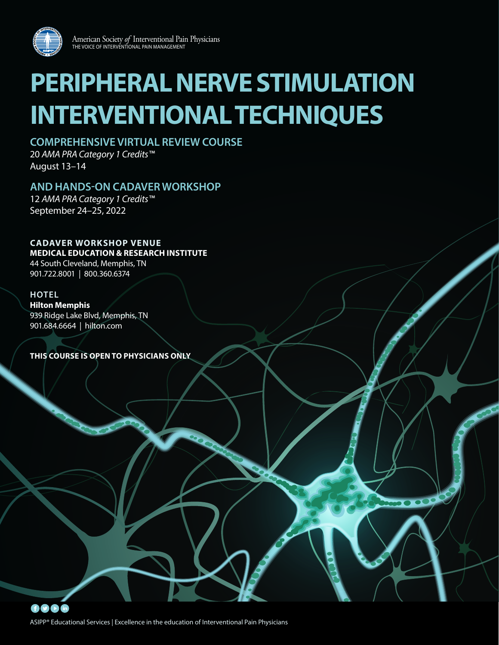

# **PERIPHERAL NERVE STIMULATION INTERVENTIONAL TECHNIQUES**

# **COMPREHENSIVE VIRTUAL REVIEW COURSE**

20 *AMA PRA Category 1 Credits™* August 13–14

# **AND HANDS-ON CADAVER WORKSHOP**

12 *AMA PRA Category 1 Credits™* September 24–25, 2022

# **CADAVER WORKSHOP VENUE**

**MEDICAL EDUCATION & RESEARCH INSTITUTE**

44 South Cleveland, Memphis, TN 901.722.8001 | 800.360.6374

# **HOTEL**

**Hilton Memphis** 939 Ridge Lake Blvd, Memphis, TN 901.684.6664 | hilton.com

**THIS COURSE IS OPEN TO PHYSICIANS ONLY**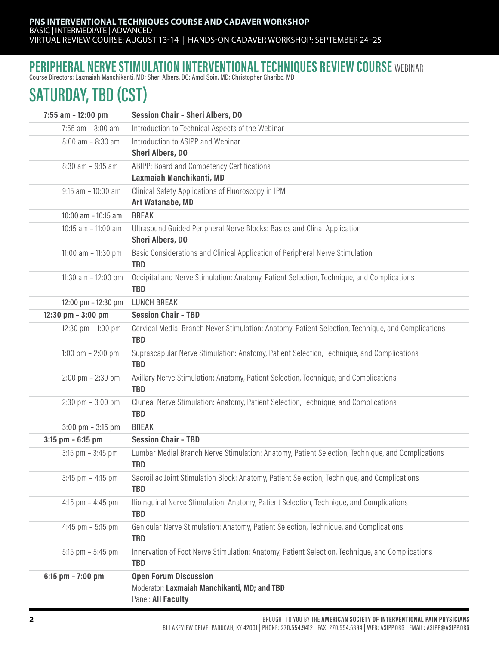# PERIPHERAL NERVE STIMULATION INTERVENTIONAL TECHNIQUES REVIEW COURSE WEBINAR

Course Directors: Laxmaiah Manchikanti, MD; Sheri Albers, DO; Amol Soin, MD; Christopher Gharibo, MD

# SATURDAY, TBD (CST)

| 7:55 am - 12:00 pm                  | <b>Session Chair - Sheri Albers, DO</b>                                                                          |
|-------------------------------------|------------------------------------------------------------------------------------------------------------------|
| $7:55$ am $- 8:00$ am               | Introduction to Technical Aspects of the Webinar                                                                 |
| $8:00$ am $- 8:30$ am               | Introduction to ASIPP and Webinar<br><b>Sheri Albers, DO</b>                                                     |
| $8:30$ am - $9:15$ am               | ABIPP: Board and Competency Certifications<br>Laxmaiah Manchikanti, MD                                           |
| $9:15$ am $-10:00$ am               | Clinical Safety Applications of Fluoroscopy in IPM<br>Art Watanabe, MD                                           |
| $10:00$ am $- 10:15$ am             | <b>BREAK</b>                                                                                                     |
| 10:15 am - 11:00 am                 | Ultrasound Guided Peripheral Nerve Blocks: Basics and Clinal Application<br><b>Sheri Albers, DO</b>              |
| 11:00 am $-$ 11:30 pm               | Basic Considerations and Clinical Application of Peripheral Nerve Stimulation<br><b>TBD</b>                      |
| 11:30 am $-$ 12:00 pm               | Occipital and Nerve Stimulation: Anatomy, Patient Selection, Technique, and Complications<br><b>TBD</b>          |
| 12:00 pm - 12:30 pm                 | <b>LUNCH BREAK</b>                                                                                               |
| 12:30 pm - 3:00 pm                  | <b>Session Chair - TBD</b>                                                                                       |
| 12:30 pm $-1:00$ pm                 | Cervical Medial Branch Never Stimulation: Anatomy, Patient Selection, Technique, and Complications<br><b>TBD</b> |
| 1:00 pm $- 2:00$ pm                 | Suprascapular Nerve Stimulation: Anatomy, Patient Selection, Technique, and Complications<br><b>TBD</b>          |
| $2:00 \text{ pm} - 2:30 \text{ pm}$ | Axillary Nerve Stimulation: Anatomy, Patient Selection, Technique, and Complications<br><b>TBD</b>               |
| $2:30$ pm $-3:00$ pm                | Cluneal Nerve Stimulation: Anatomy, Patient Selection, Technique, and Complications<br><b>TBD</b>                |
| $3:00$ pm $-3:15$ pm                | <b>BREAK</b>                                                                                                     |
| $3:15$ pm - 6:15 pm                 | <b>Session Chair - TBD</b>                                                                                       |
| $3:15$ pm $-3:45$ pm                | Lumbar Medial Branch Nerve Stimulation: Anatomy, Patient Selection, Technique, and Complications<br><b>TBD</b>   |
| $3:45$ pm $-4:15$ pm                | Sacroiliac Joint Stimulation Block: Anatomy, Patient Selection, Technique, and Complications<br><b>TBD</b>       |
| 4:15 pm $-$ 4:45 pm                 | Ilioinguinal Nerve Stimulation: Anatomy, Patient Selection, Technique, and Complications<br><b>TBD</b>           |
| 4:45 pm $-$ 5:15 pm                 | Genicular Nerve Stimulation: Anatomy, Patient Selection, Technique, and Complications<br><b>TBD</b>              |
| $5:15$ pm $-5:45$ pm                | Innervation of Foot Nerve Stimulation: Anatomy, Patient Selection, Technique, and Complications<br><b>TBD</b>    |
| 6:15 pm $- 7:00$ pm                 | <b>Open Forum Discussion</b><br>Moderator: Laxmaiah Manchikanti, MD; and TBD<br>Panel: All Faculty               |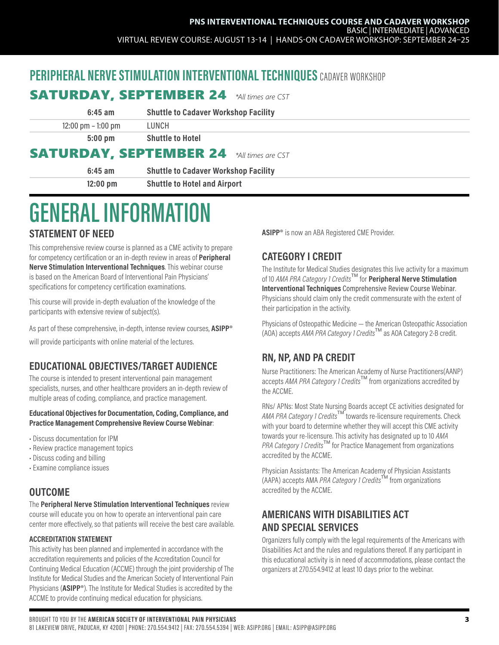# PERIPHERAL NERVE STIMULATION INTERVENTIONAL TECHNIQUES CADAVER WORKSHOP

| <b>SATURDAY, SEPTEMBER 24</b><br>*All times are CST |                                             |  |  |
|-----------------------------------------------------|---------------------------------------------|--|--|
| $6:45$ am                                           | <b>Shuttle to Cadaver Workshop Facility</b> |  |  |
| $12:00 \text{ pm} - 1:00 \text{ pm}$                | LUNCH                                       |  |  |
| $5:00$ pm                                           | <b>Shuttle to Hotel</b>                     |  |  |
| <b>SATURDAY, SEPTEMBER 24</b>                       | *All times are CST                          |  |  |
| $6:45$ am                                           | <b>Shuttle to Cadaver Workshop Facility</b> |  |  |
| $12:00$ pm                                          | <b>Shuttle to Hotel and Airport</b>         |  |  |

# GENERAL INFORMATION

## STATEMENT OF NEED

This comprehensive review course is planned as a CME activity to prepare for competency certification or an in-depth review in areas of **Peripheral** Nerve Stimulation Interventional Techniques. This webinar course is based on the American Board of Interventional Pain Physicians' specifications for competency certification examinations.

This course will provide in-depth evaluation of the knowledge of the participants with extensive review of subject(s).

As part of these comprehensive, in-depth, intense review courses, **ASIPP<sup>®</sup>** will provide participants with online material of the lectures.

# EDUCATIONAL OBJECTIVES/TARGET AUDIENCE

The course is intended to present interventional pain management specialists, nurses, and other healthcare providers an in-depth review of multiple areas of coding, compliance, and practice management.

#### Educational Objectives for Documentation, Coding, Compliance, and Practice Management Comprehensive Review Course Webinar:

- Discuss documentation for IPM
- Review practice management topics
- Discuss coding and billing
- Examine compliance issues

# OUTCOME

The Peripheral Nerve Stimulation Interventional Techniques review course will educate you on how to operate an interventional pain care center more effectively, so that patients will receive the best care available.

### ACCREDITATION STATEMENT

This activity has been planned and implemented in accordance with the accreditation requirements and policies of the Accreditation Council for Continuing Medical Education (ACCME) through the joint providership of The Institute for Medical Studies and the American Society of Interventional Pain Physicians (ASIPP®). The Institute for Medical Studies is accredited by the ACCME to provide continuing medical education for physicians.

ASIPP<sup>®</sup> is now an ABA Registered CME Provider.

# CATEGORY I CREDIT

The Institute for Medical Studies designates this live activity for a maximum of 10 AMA PRA Category 1 Credits<sup>TM</sup> for Peripheral Nerve Stimulation Interventional Techniques Comprehensive Review Course Webinar. Physicians should claim only the credit commensurate with the extent of their participation in the activity.

Physicians of Osteopathic Medicine — the American Osteopathic Association  $(AOA)$  accepts AMA PRA Category 1 Credits<sup>TM</sup> as AOA Category 2-B credit.

# RN, NP, AND PA CREDIT

Nurse Practitioners: The American Academy of Nurse Practitioners(AANP) accepts AMA PRA Category 1 Credits<sup>TM</sup> from organizations accredited by the ACCME.

RNs/ APNs: Most State Nursing Boards accept CE activities designated for AMA PRA Category 1 Credits<sup>TM</sup> towards re-licensure requirements. Check with your board to determine whether they will accept this CME activity towards your re-licensure. This activity has designated up to 10 AMA PRA Category 1 Credits<sup>TM</sup> for Practice Management from organizations accredited by the ACCME.

Physician Assistants: The American Academy of Physician Assistants (AAPA) accepts AMA *PRA Category 1 Credits*<sup> $M$ </sup> from organizations accredited by the ACCME.

# AMERICANS WITH DISABILITIES ACT AND SPECIAL SERVICES

Organizers fully comply with the legal requirements of the Americans with Disabilities Act and the rules and regulations thereof. If any participant in this educational activity is in need of accommodations, please contact the organizers at 270.554.9412 at least 10 days prior to the webinar.